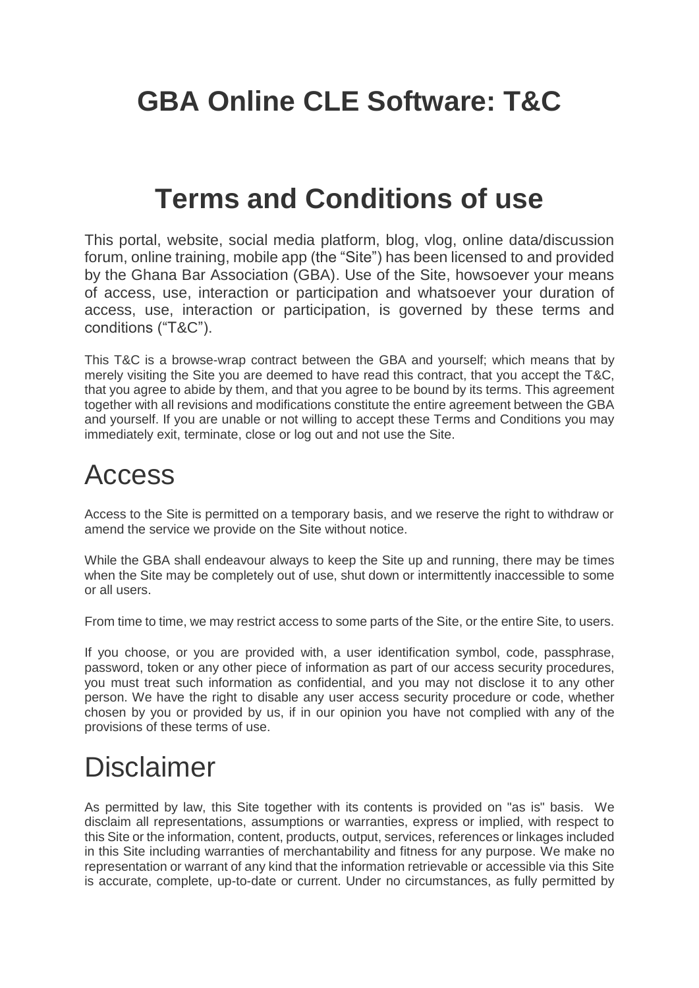## **GBA Online CLE Software: T&C**

#### **Terms and Conditions of use**

This portal, website, social media platform, blog, vlog, online data/discussion forum, online training, mobile app (the "Site") has been licensed to and provided by the Ghana Bar Association (GBA). Use of the Site, howsoever your means of access, use, interaction or participation and whatsoever your duration of access, use, interaction or participation, is governed by these terms and conditions ("T&C").

This T&C is a browse-wrap contract between the GBA and yourself; which means that by merely visiting the Site you are deemed to have read this contract, that you accept the T&C, that you agree to abide by them, and that you agree to be bound by its terms. This agreement together with all revisions and modifications constitute the entire agreement between the GBA and yourself. If you are unable or not willing to accept these Terms and Conditions you may immediately exit, terminate, close or log out and not use the Site.

#### Access

Access to the Site is permitted on a temporary basis, and we reserve the right to withdraw or amend the service we provide on the Site without notice.

While the GBA shall endeavour always to keep the Site up and running, there may be times when the Site may be completely out of use, shut down or intermittently inaccessible to some or all users.

From time to time, we may restrict access to some parts of the Site, or the entire Site, to users.

If you choose, or you are provided with, a user identification symbol, code, passphrase, password, token or any other piece of information as part of our access security procedures, you must treat such information as confidential, and you may not disclose it to any other person. We have the right to disable any user access security procedure or code, whether chosen by you or provided by us, if in our opinion you have not complied with any of the provisions of these terms of use.

#### Disclaimer

As permitted by law, this Site together with its contents is provided on "as is" basis. We disclaim all representations, assumptions or warranties, express or implied, with respect to this Site or the information, content, products, output, services, references or linkages included in this Site including warranties of merchantability and fitness for any purpose. We make no representation or warrant of any kind that the information retrievable or accessible via this Site is accurate, complete, up-to-date or current. Under no circumstances, as fully permitted by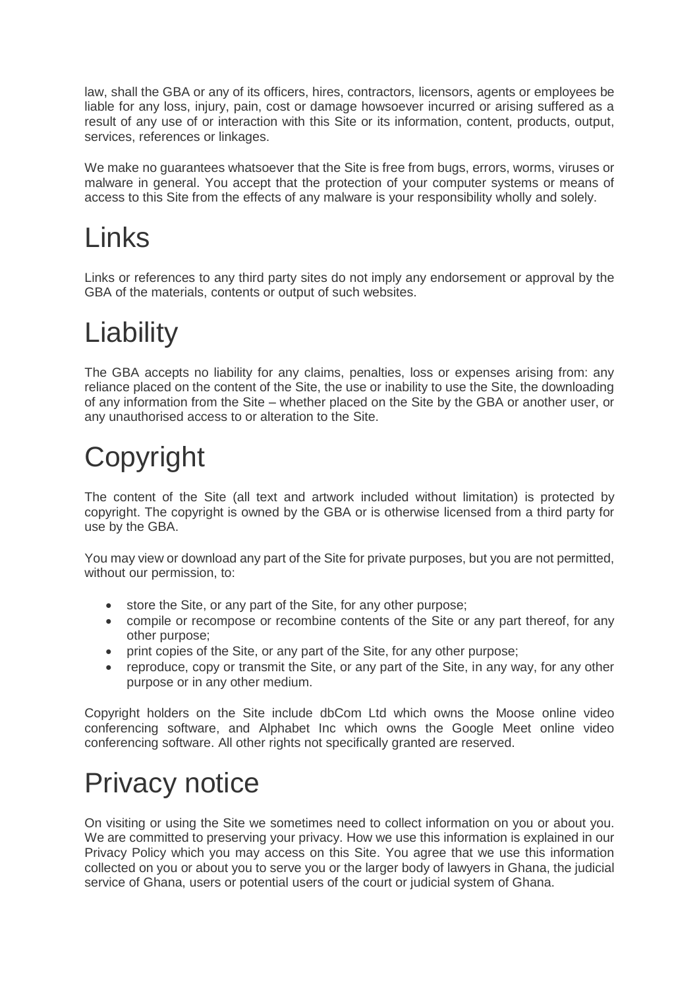law, shall the GBA or any of its officers, hires, contractors, licensors, agents or employees be liable for any loss, injury, pain, cost or damage howsoever incurred or arising suffered as a result of any use of or interaction with this Site or its information, content, products, output, services, references or linkages.

We make no guarantees whatsoever that the Site is free from bugs, errors, worms, viruses or malware in general. You accept that the protection of your computer systems or means of access to this Site from the effects of any malware is your responsibility wholly and solely.

## Links

Links or references to any third party sites do not imply any endorsement or approval by the GBA of the materials, contents or output of such websites.

# **Liability**

The GBA accepts no liability for any claims, penalties, loss or expenses arising from: any reliance placed on the content of the Site, the use or inability to use the Site, the downloading of any information from the Site – whether placed on the Site by the GBA or another user, or any unauthorised access to or alteration to the Site.

# Copyright

The content of the Site (all text and artwork included without limitation) is protected by copyright. The copyright is owned by the GBA or is otherwise licensed from a third party for use by the GBA.

You may view or download any part of the Site for private purposes, but you are not permitted, without our permission, to:

- store the Site, or any part of the Site, for any other purpose;
- compile or recompose or recombine contents of the Site or any part thereof, for any other purpose;
- print copies of the Site, or any part of the Site, for any other purpose;
- reproduce, copy or transmit the Site, or any part of the Site, in any way, for any other purpose or in any other medium.

Copyright holders on the Site include dbCom Ltd which owns the Moose online video conferencing software, and Alphabet Inc which owns the Google Meet online video conferencing software. All other rights not specifically granted are reserved.

## Privacy notice

On visiting or using the Site we sometimes need to collect information on you or about you. We are committed to preserving your privacy. How we use this information is explained in our Privacy Policy which you may access on this Site. You agree that we use this information collected on you or about you to serve you or the larger body of lawyers in Ghana, the judicial service of Ghana, users or potential users of the court or judicial system of Ghana.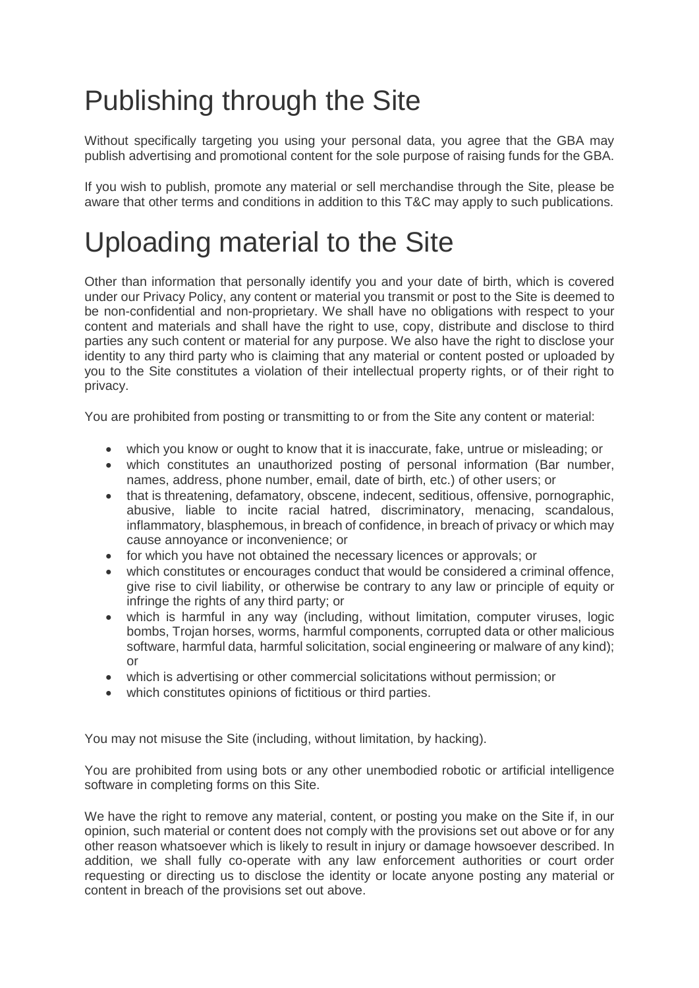# Publishing through the Site

Without specifically targeting you using your personal data, you agree that the GBA may publish advertising and promotional content for the sole purpose of raising funds for the GBA.

If you wish to publish, promote any material or sell merchandise through the Site, please be aware that other terms and conditions in addition to this T&C may apply to such publications.

## Uploading material to the Site

Other than information that personally identify you and your date of birth, which is covered under our Privacy Policy, any content or material you transmit or post to the Site is deemed to be non-confidential and non-proprietary. We shall have no obligations with respect to your content and materials and shall have the right to use, copy, distribute and disclose to third parties any such content or material for any purpose. We also have the right to disclose your identity to any third party who is claiming that any material or content posted or uploaded by you to the Site constitutes a violation of their intellectual property rights, or of their right to privacy.

You are prohibited from posting or transmitting to or from the Site any content or material:

- which you know or ought to know that it is inaccurate, fake, untrue or misleading; or
- which constitutes an unauthorized posting of personal information (Bar number, names, address, phone number, email, date of birth, etc.) of other users; or
- that is threatening, defamatory, obscene, indecent, seditious, offensive, pornographic, abusive, liable to incite racial hatred, discriminatory, menacing, scandalous, inflammatory, blasphemous, in breach of confidence, in breach of privacy or which may cause annoyance or inconvenience; or
- for which you have not obtained the necessary licences or approvals; or
- which constitutes or encourages conduct that would be considered a criminal offence, give rise to civil liability, or otherwise be contrary to any law or principle of equity or infringe the rights of any third party; or
- which is harmful in any way (including, without limitation, computer viruses, logic bombs, Trojan horses, worms, harmful components, corrupted data or other malicious software, harmful data, harmful solicitation, social engineering or malware of any kind); or
- which is advertising or other commercial solicitations without permission; or
- which constitutes opinions of fictitious or third parties.

You may not misuse the Site (including, without limitation, by hacking).

You are prohibited from using bots or any other unembodied robotic or artificial intelligence software in completing forms on this Site.

We have the right to remove any material, content, or posting you make on the Site if, in our opinion, such material or content does not comply with the provisions set out above or for any other reason whatsoever which is likely to result in injury or damage howsoever described. In addition, we shall fully co-operate with any law enforcement authorities or court order requesting or directing us to disclose the identity or locate anyone posting any material or content in breach of the provisions set out above.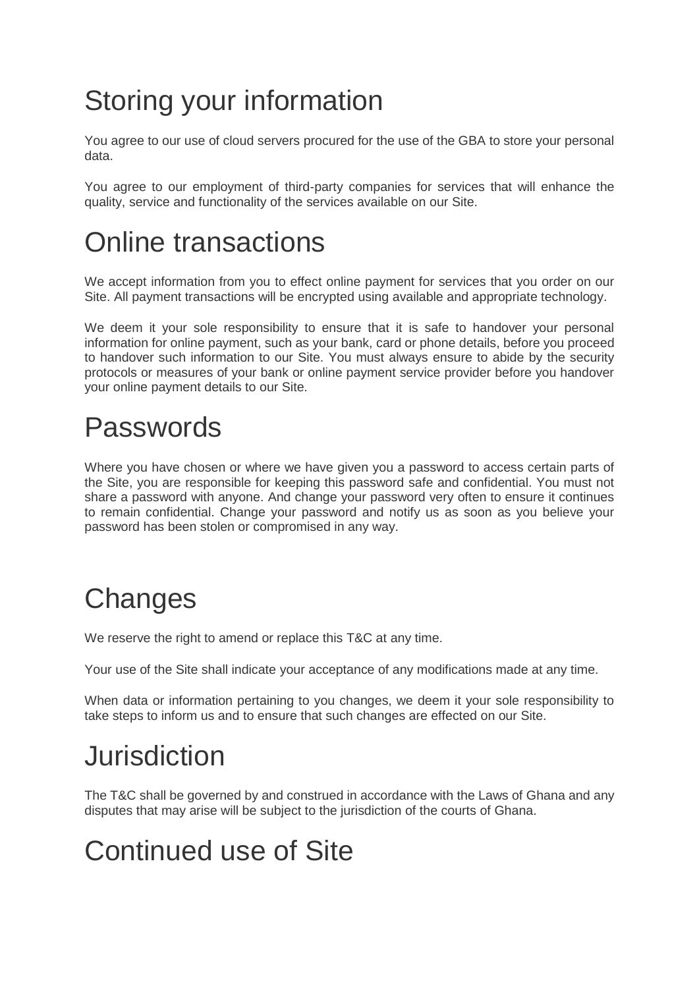## Storing your information

You agree to our use of cloud servers procured for the use of the GBA to store your personal data.

You agree to our employment of third-party companies for services that will enhance the quality, service and functionality of the services available on our Site.

## Online transactions

We accept information from you to effect online payment for services that you order on our Site. All payment transactions will be encrypted using available and appropriate technology.

We deem it your sole responsibility to ensure that it is safe to handover your personal information for online payment, such as your bank, card or phone details, before you proceed to handover such information to our Site. You must always ensure to abide by the security protocols or measures of your bank or online payment service provider before you handover your online payment details to our Site.

## Passwords

Where you have chosen or where we have given you a password to access certain parts of the Site, you are responsible for keeping this password safe and confidential. You must not share a password with anyone. And change your password very often to ensure it continues to remain confidential. Change your password and notify us as soon as you believe your password has been stolen or compromised in any way.

## **Changes**

We reserve the right to amend or replace this T&C at any time.

Your use of the Site shall indicate your acceptance of any modifications made at any time.

When data or information pertaining to you changes, we deem it your sole responsibility to take steps to inform us and to ensure that such changes are effected on our Site.

## Jurisdiction

The T&C shall be governed by and construed in accordance with the Laws of Ghana and any disputes that may arise will be subject to the jurisdiction of the courts of Ghana.

## Continued use of Site